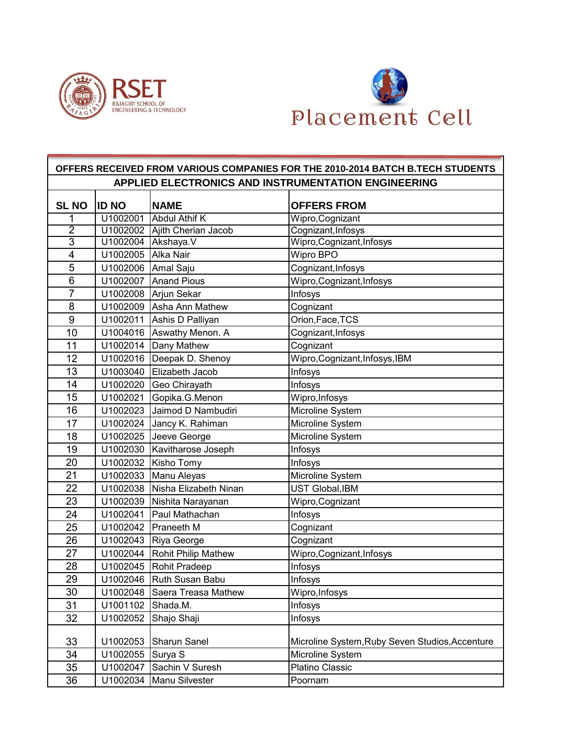



## **SL NO ID NO NAME OFFERS FROM** 1 U1002001 Abdul Athif K Wipro,Cognizant 2 | U1002002 | Ajith Cherian Jacob | Cognizant, Infosys 3 U1002004 Akshaya.V Wipro,Cognizant,Infosys 4 | U1002005 | Alka Nair National Micro BPO 5 U1002006 Amal Saju Cognizant,Infosys 6 | U1002007 Anand Pious | Wipro, Cognizant, Infosys 7 | U1002008 Arjun Sekar | Infosys 8 | U1002009 Asha Ann Mathew | Cognizant 9 | U1002011 Ashis D Palliyan | Orion, Face, TCS 10 | U1004016 Aswathy Menon. A Cognizant, Infosys 11 | U1002014 Dany Mathew | Cognizant 12 U1002016 Deepak D. Shenoy Wipro,Cognizant,Infosys,IBM 13 | U1003040 Elizabeth Jacob | Infosys 14 | U1002020 Geo Chiravath | Infosys 15 U1002021 Gopika.G.Menon Wipro,Infosys 16 | U1002023 | Jaimod D Nambudiri | Microline System 17 | U1002024 | Jancy K. Rahiman | Microline System 18 | U1002025 | Jeeve George | Microline System 19 | U1002030 Kavitharose Joseph | Infosys 20 | U1002032 | Kisho Tomy | Infosys 21 | U1002033 | Manu Aleyas | Microline System 22 U1002038 Nisha Elizabeth Ninan UST Global,IBM 23 U1002039 Nishita Narayanan Wipro,Cognizant 24 | U1002041 Paul Mathachan | Infosys 25 U1002042 Praneeth M Cognizant 26 | U1002043 Riya George | Cognizant 27 | U1002044 | Rohit Philip Mathew | Wipro, Cognizant, Infosys 28 | U1002045 Rohit Pradeep | Infosys 29 | U1002046 Ruth Susan Babu | Infosys 30 | U1002048 Saera Treasa Mathew Wipro, Infosys 31 U1001102 Shada.M. Infosys 32 U1002052 Shajo Shaji Infosys 33 | U1002053 Sharun Sanel | Microline System, Ruby Seven Studios, Accenture 34 | U1002055 Surya S | Microline System 35 | U1002047 Sachin V Suresh | Platino Classic 36 U1002034 Manu Silvester Poornam **OFFERS RECEIVED FROM VARIOUS COMPANIES FOR THE 2010-2014 BATCH B.TECH STUDENTS APPLIED ELECTRONICS AND INSTRUMENTATION ENGINEERING**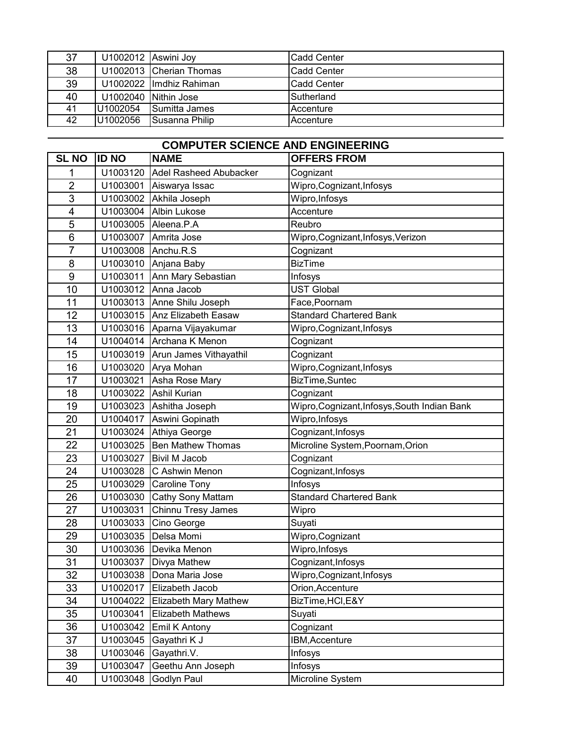| 37             | U1002012 Aswini Joy      | <b>Cadd Center</b> |
|----------------|--------------------------|--------------------|
| 38             | U1002013 Cherian Thomas  | <b>Cadd Center</b> |
| 39             | U1002022 Ilmdhiz Rahiman | <b>Cadd Center</b> |
| 40             | U1002040 Nithin Jose     | Sutherland         |
| 41<br>U1002054 | Sumitta James            | Accenture          |
| U1002056<br>42 | Susanna Philip           | Accenture          |

| <b>COMPUTER SCIENCE AND ENGINEERING</b> |              |                               |                                              |
|-----------------------------------------|--------------|-------------------------------|----------------------------------------------|
| <b>SL NO</b>                            | <b>ID NO</b> | <b>NAME</b>                   | <b>OFFERS FROM</b>                           |
| 1                                       | U1003120     | <b>Adel Rasheed Abubacker</b> | Cognizant                                    |
| $\overline{2}$                          | U1003001     | Aiswarya Issac                | Wipro, Cognizant, Infosys                    |
| 3                                       | U1003002     | Akhila Joseph                 | Wipro, Infosys                               |
| 4                                       | U1003004     | <b>Albin Lukose</b>           | Accenture                                    |
| 5                                       | U1003005     | Aleena.P.A                    | Reubro                                       |
| 6                                       | U1003007     | Amrita Jose                   | Wipro, Cognizant, Infosys, Verizon           |
| $\overline{7}$                          | U1003008     | Anchu.R.S                     | Cognizant                                    |
| 8                                       | U1003010     | Anjana Baby                   | <b>BizTime</b>                               |
| 9                                       | U1003011     | Ann Mary Sebastian            | Infosys                                      |
| 10                                      | U1003012     | Anna Jacob                    | <b>UST Global</b>                            |
| 11                                      | U1003013     | Anne Shilu Joseph             | Face, Poornam                                |
| 12                                      | U1003015     | Anz Elizabeth Easaw           | <b>Standard Chartered Bank</b>               |
| 13                                      | U1003016     | Aparna Vijayakumar            | Wipro, Cognizant, Infosys                    |
| 14                                      | U1004014     | Archana K Menon               | Cognizant                                    |
| 15                                      | U1003019     | Arun James Vithayathil        | Cognizant                                    |
| 16                                      | U1003020     | Arya Mohan                    | Wipro, Cognizant, Infosys                    |
| 17                                      | U1003021     | Asha Rose Mary                | BizTime, Suntec                              |
| 18                                      | U1003022     | <b>Ashil Kurian</b>           | Cognizant                                    |
| 19                                      | U1003023     | Ashitha Joseph                | Wipro, Cognizant, Infosys, South Indian Bank |
| 20                                      | U1004017     | Aswini Gopinath               | Wipro, Infosys                               |
| 21                                      | U1003024     | Athiya George                 | Cognizant, Infosys                           |
| 22                                      | U1003025     | <b>Ben Mathew Thomas</b>      | Microline System, Poornam, Orion             |
| 23                                      | U1003027     | <b>Bivil M Jacob</b>          | Cognizant                                    |
| 24                                      | U1003028     | C Ashwin Menon                | Cognizant, Infosys                           |
| 25                                      | U1003029     | Caroline Tony                 | Infosys                                      |
| 26                                      | U1003030     | Cathy Sony Mattam             | <b>Standard Chartered Bank</b>               |
| 27                                      | U1003031     | Chinnu Tresy James            | Wipro                                        |
| 28                                      | U1003033     | Cino George                   | Suyati                                       |
| 29                                      | U1003035     | Delsa Momi                    | Wipro, Cognizant                             |
| 30                                      | U1003036     | Devika Menon                  | Wipro, Infosys                               |
| 31                                      |              | U1003037   Divya Mathew       | Cognizant, Infosys                           |
| 32                                      | U1003038     | Dona Maria Jose               | Wipro, Cognizant, Infosys                    |
| 33                                      | U1002017     | Elizabeth Jacob               | Orion, Accenture                             |
| 34                                      | U1004022     | Elizabeth Mary Mathew         | BizTime, HCI, E&Y                            |
| 35                                      | U1003041     | <b>Elizabeth Mathews</b>      | Suyati                                       |
| 36                                      | U1003042     | Emil K Antony                 | Cognizant                                    |
| 37                                      | U1003045     | Gayathri K J                  | IBM, Accenture                               |
| 38                                      | U1003046     | Gayathri.V.                   | Infosys                                      |
| 39                                      | U1003047     | Geethu Ann Joseph             | Infosys                                      |
| 40                                      | U1003048     | Godlyn Paul                   | Microline System                             |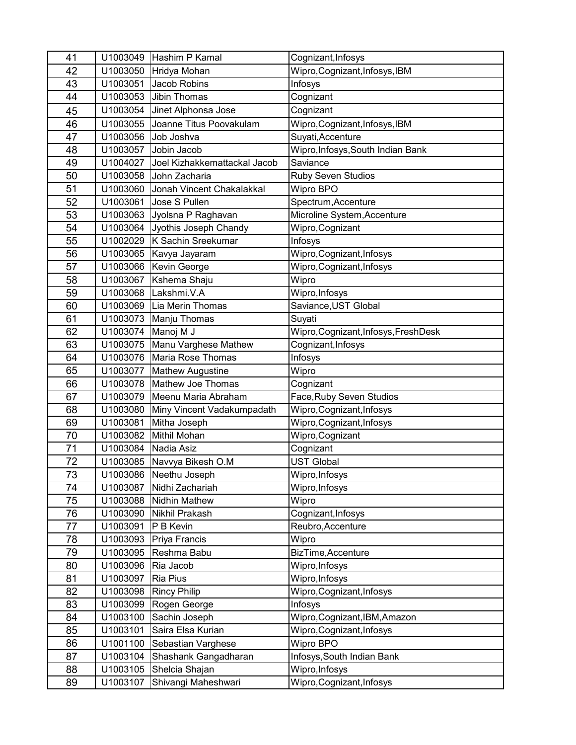| 41 | U1003049 | Hashim P Kamal               | Cognizant, Infosys                    |
|----|----------|------------------------------|---------------------------------------|
| 42 | U1003050 | Hridya Mohan                 | Wipro, Cognizant, Infosys, IBM        |
| 43 | U1003051 | Jacob Robins                 | Infosys                               |
| 44 | U1003053 | Jibin Thomas                 | Cognizant                             |
| 45 | U1003054 | Jinet Alphonsa Jose          | Cognizant                             |
| 46 | U1003055 | Joanne Titus Poovakulam      | Wipro, Cognizant, Infosys, IBM        |
| 47 | U1003056 | Job Joshva                   | Suyati, Accenture                     |
| 48 | U1003057 | Jobin Jacob                  | Wipro, Infosys, South Indian Bank     |
| 49 | U1004027 | Joel Kizhakkemattackal Jacob | Saviance                              |
| 50 | U1003058 | John Zacharia                | <b>Ruby Seven Studios</b>             |
| 51 | U1003060 | Jonah Vincent Chakalakkal    | Wipro BPO                             |
| 52 | U1003061 | Jose S Pullen                | Spectrum, Accenture                   |
| 53 | U1003063 | Jyolsna P Raghavan           | Microline System, Accenture           |
| 54 | U1003064 | Jyothis Joseph Chandy        | Wipro, Cognizant                      |
| 55 | U1002029 | K Sachin Sreekumar           | Infosys                               |
| 56 | U1003065 | Kavya Jayaram                | Wipro, Cognizant, Infosys             |
| 57 | U1003066 | Kevin George                 | Wipro, Cognizant, Infosys             |
| 58 | U1003067 | Kshema Shaju                 | Wipro                                 |
| 59 | U1003068 | Lakshmi.V.A                  | Wipro, Infosys                        |
| 60 | U1003069 | Lia Merin Thomas             | Saviance, UST Global                  |
| 61 | U1003073 | Manju Thomas                 | Suyati                                |
| 62 | U1003074 | Manoj M J                    | Wipro, Cognizant, Infosys, Fresh Desk |
| 63 | U1003075 | Manu Varghese Mathew         | Cognizant, Infosys                    |
| 64 | U1003076 | Maria Rose Thomas            | Infosys                               |
| 65 | U1003077 | <b>Mathew Augustine</b>      | Wipro                                 |
| 66 | U1003078 | Mathew Joe Thomas            | Cognizant                             |
| 67 | U1003079 | Meenu Maria Abraham          | Face, Ruby Seven Studios              |
| 68 | U1003080 | Miny Vincent Vadakumpadath   | Wipro, Cognizant, Infosys             |
| 69 | U1003081 | Mitha Joseph                 | Wipro, Cognizant, Infosys             |
| 70 | U1003082 | <b>Mithil Mohan</b>          | Wipro, Cognizant                      |
| 71 | U1003084 | Nadia Asiz                   | Cognizant                             |
| 72 | U1003085 | Navvya Bikesh O.M            | <b>UST Global</b>                     |
| 73 |          | U1003086 Neethu Joseph       | Wipro, Infosys                        |
| 74 | U1003087 | Nidhi Zachariah              | Wipro, Infosys                        |
| 75 | U1003088 | Nidhin Mathew                | Wipro                                 |
| 76 | U1003090 | Nikhil Prakash               | Cognizant, Infosys                    |
| 77 | U1003091 | P B Kevin                    | Reubro, Accenture                     |
| 78 | U1003093 | Priya Francis                | Wipro                                 |
| 79 | U1003095 | Reshma Babu                  | BizTime, Accenture                    |
| 80 | U1003096 | Ria Jacob                    | Wipro, Infosys                        |
| 81 | U1003097 | Ria Pius                     | Wipro, Infosys                        |
| 82 | U1003098 | <b>Rincy Philip</b>          | Wipro, Cognizant, Infosys             |
| 83 | U1003099 | Rogen George                 | Infosys                               |
| 84 | U1003100 | Sachin Joseph                | Wipro, Cognizant, IBM, Amazon         |
| 85 | U1003101 | Saira Elsa Kurian            | Wipro, Cognizant, Infosys             |
| 86 | U1001100 | Sebastian Varghese           | Wipro BPO                             |
| 87 | U1003104 | Shashank Gangadharan         | Infosys, South Indian Bank            |
| 88 | U1003105 | Shelcia Shajan               | Wipro, Infosys                        |
| 89 | U1003107 | Shivangi Maheshwari          | Wipro, Cognizant, Infosys             |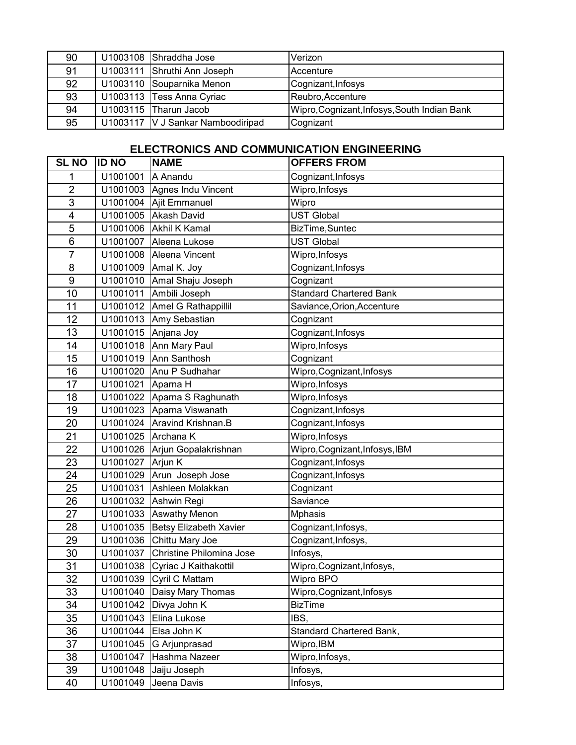| 90 | U1003108 Shraddha Jose            | Verizon                                      |
|----|-----------------------------------|----------------------------------------------|
| 91 | U1003111 Shruthi Ann Joseph       | <b>IAccenture</b>                            |
| 92 | U1003110 Souparnika Menon         | Cognizant, Infosys                           |
| 93 | U1003113 Tess Anna Cyriac         | Reubro, Accenture                            |
| 94 | U1003115 Tharun Jacob             | Wipro, Cognizant, Infosys, South Indian Bank |
| 95 | U1003117 V J Sankar Namboodiripad | Cognizant                                    |

## **ELECTRONICS AND COMMUNICATION ENGINEERING**

| <b>SL NO</b>            | <b>ID NO</b> | <b>NAME</b>                   | <b>OFFERS FROM</b>             |
|-------------------------|--------------|-------------------------------|--------------------------------|
| 1                       | U1001001     | A Anandu                      | Cognizant, Infosys             |
| $\overline{2}$          | U1001003     | Agnes Indu Vincent            | Wipro, Infosys                 |
| 3                       | U1001004     | Ajit Emmanuel                 | Wipro                          |
| $\overline{\mathbf{4}}$ | U1001005     | <b>Akash David</b>            | <b>UST Global</b>              |
| 5                       | U1001006     | Akhil K Kamal                 | BizTime, Suntec                |
| $6\phantom{1}$          | U1001007     | Aleena Lukose                 | <b>UST Global</b>              |
| 7                       | U1001008     | Aleena Vincent                | Wipro, Infosys                 |
| 8                       | U1001009     | Amal K. Joy                   | Cognizant, Infosys             |
| 9                       | U1001010     | Amal Shaju Joseph             | Cognizant                      |
| 10                      | U1001011     | Ambili Joseph                 | <b>Standard Chartered Bank</b> |
| 11                      | U1001012     | Amel G Rathappillil           | Saviance, Orion, Accenture     |
| 12                      | U1001013     | Amy Sebastian                 | Cognizant                      |
| 13                      | U1001015     | Anjana Joy                    | Cognizant, Infosys             |
| 14                      | U1001018     | Ann Mary Paul                 | Wipro, Infosys                 |
| 15                      | U1001019     | Ann Santhosh                  | Cognizant                      |
| 16                      | U1001020     | Anu P Sudhahar                | Wipro, Cognizant, Infosys      |
| 17                      | U1001021     | Aparna H                      | Wipro, Infosys                 |
| 18                      | U1001022     | Aparna S Raghunath            | Wipro, Infosys                 |
| 19                      | U1001023     | Aparna Viswanath              | Cognizant, Infosys             |
| 20                      | U1001024     | Aravind Krishnan.B            | Cognizant, Infosys             |
| 21                      | U1001025     | Archana K                     | Wipro, Infosys                 |
| 22                      | U1001026     | Arjun Gopalakrishnan          | Wipro, Cognizant, Infosys, IBM |
| 23                      | U1001027     | Arjun K                       | Cognizant, Infosys             |
| 24                      | U1001029     | Arun Joseph Jose              | Cognizant, Infosys             |
| 25                      | U1001031     | Ashleen Molakkan              | Cognizant                      |
| 26                      | U1001032     | Ashwin Regi                   | Saviance                       |
| 27                      | U1001033     | <b>Aswathy Menon</b>          | <b>Mphasis</b>                 |
| 28                      | U1001035     | <b>Betsy Elizabeth Xavier</b> | Cognizant, Infosys,            |
| 29                      | U1001036     | Chittu Mary Joe               | Cognizant, Infosys,            |
| 30                      | U1001037     | Christine Philomina Jose      | Infosys,                       |
| 31                      | U1001038     | Cyriac J Kaithakottil         | Wipro, Cognizant, Infosys,     |
| $\overline{32}$         | U1001039     | Cyril C Mattam                | Wipro BPO                      |
| 33                      | U1001040     | Daisy Mary Thomas             | Wipro, Cognizant, Infosys      |
| 34                      | U1001042     | Divya John K                  | <b>BizTime</b>                 |
| 35                      | U1001043     | Elina Lukose                  | IBS,                           |
| 36                      | U1001044     | Elsa John K                   | Standard Chartered Bank,       |
| 37                      | U1001045     | G Arjunprasad                 | Wipro, IBM                     |
| 38                      | U1001047     | Hashma Nazeer                 | Wipro, Infosys,                |
| 39                      | U1001048     | Jaiju Joseph                  | Infosys,                       |
| 40                      | U1001049     | Jeena Davis                   | Infosys,                       |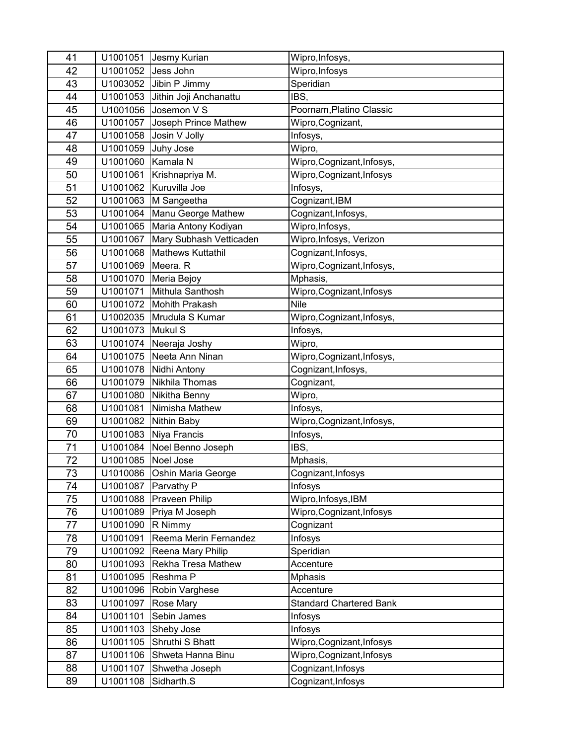| 41 | U1001051 | Jesmy Kurian                | Wipro, Infosys,                |
|----|----------|-----------------------------|--------------------------------|
| 42 | U1001052 | Jess John                   | Wipro, Infosys                 |
| 43 | U1003052 | Jibin P Jimmy               | Speridian                      |
| 44 | U1001053 | Jithin Joji Anchanattu      | IBS,                           |
| 45 | U1001056 | Josemon V S                 | Poornam, Platino Classic       |
| 46 | U1001057 | Joseph Prince Mathew        | Wipro, Cognizant,              |
| 47 | U1001058 | Josin V Jolly               | Infosys,                       |
| 48 | U1001059 | Juhy Jose                   | Wipro,                         |
| 49 | U1001060 | Kamala N                    | Wipro, Cognizant, Infosys,     |
| 50 | U1001061 | Krishnapriya M.             | Wipro, Cognizant, Infosys      |
| 51 | U1001062 | Kuruvilla Joe               | Infosys,                       |
| 52 | U1001063 | M Sangeetha                 | Cognizant, IBM                 |
| 53 | U1001064 | Manu George Mathew          | Cognizant, Infosys,            |
| 54 | U1001065 | Maria Antony Kodiyan        | Wipro, Infosys,                |
| 55 | U1001067 | Mary Subhash Vetticaden     | Wipro, Infosys, Verizon        |
| 56 | U1001068 | <b>Mathews Kuttathil</b>    | Cognizant, Infosys,            |
| 57 | U1001069 | Meera. R                    | Wipro, Cognizant, Infosys,     |
| 58 | U1001070 | Meria Bejoy                 | Mphasis,                       |
| 59 | U1001071 | Mithula Santhosh            | Wipro, Cognizant, Infosys      |
| 60 | U1001072 | <b>Mohith Prakash</b>       | <b>Nile</b>                    |
| 61 | U1002035 | Mrudula S Kumar             | Wipro, Cognizant, Infosys,     |
| 62 | U1001073 | Mukul S                     | Infosys,                       |
| 63 | U1001074 | Neeraja Joshy               | Wipro,                         |
| 64 | U1001075 | Neeta Ann Ninan             | Wipro, Cognizant, Infosys,     |
| 65 | U1001078 | Nidhi Antony                | Cognizant, Infosys,            |
| 66 | U1001079 | Nikhila Thomas              | Cognizant,                     |
| 67 | U1001080 | Nikitha Benny               | Wipro,                         |
| 68 | U1001081 | Nimisha Mathew              | Infosys,                       |
| 69 | U1001082 | Nithin Baby                 | Wipro, Cognizant, Infosys,     |
| 70 | U1001083 | Niya Francis                | Infosys,                       |
| 71 | U1001084 | Noel Benno Joseph           | IBS,                           |
| 72 | U1001085 | Noel Jose                   | Mphasis,                       |
| 73 |          | U1010086 Oshin Maria George | Cognizant, Infosys             |
| 74 | U1001087 | Parvathy P                  | Infosys                        |
| 75 | U1001088 | Praveen Philip              | Wipro, Infosys, IBM            |
| 76 | U1001089 | Priya M Joseph              | Wipro, Cognizant, Infosys      |
| 77 | U1001090 | R Nimmy                     | Cognizant                      |
| 78 | U1001091 | Reema Merin Fernandez       | Infosys                        |
| 79 | U1001092 | Reena Mary Philip           | Speridian                      |
| 80 | U1001093 | Rekha Tresa Mathew          | Accenture                      |
| 81 | U1001095 | Reshma P                    | <b>Mphasis</b>                 |
| 82 | U1001096 | Robin Varghese              | Accenture                      |
| 83 | U1001097 | Rose Mary                   | <b>Standard Chartered Bank</b> |
| 84 | U1001101 | Sebin James                 | Infosys                        |
| 85 | U1001103 | Sheby Jose                  | Infosys                        |
| 86 | U1001105 | Shruthi S Bhatt             | Wipro, Cognizant, Infosys      |
| 87 | U1001106 | Shweta Hanna Binu           | Wipro, Cognizant, Infosys      |
| 88 | U1001107 | Shwetha Joseph              | Cognizant, Infosys             |
| 89 | U1001108 | Sidharth.S                  | Cognizant, Infosys             |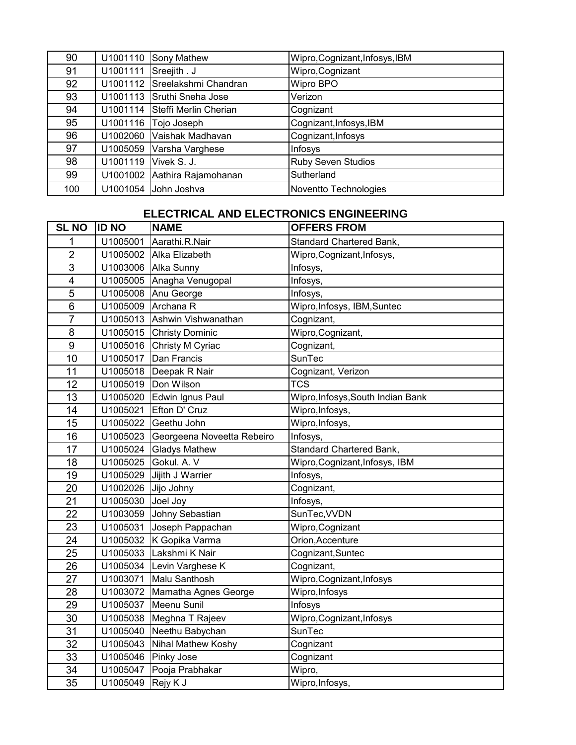| 90  | U1001110 | Sony Mathew           | Wipro, Cognizant, Infosys, IBM |
|-----|----------|-----------------------|--------------------------------|
| 91  | U1001111 | Sreejith . J          | Wipro, Cognizant               |
| 92  | U1001112 | Sreelakshmi Chandran  | Wipro BPO                      |
| 93  | U1001113 | Sruthi Sneha Jose     | Verizon                        |
| 94  | U1001114 | Steffi Merlin Cherian | Cognizant                      |
| 95  | U1001116 | Tojo Joseph           | Cognizant, Infosys, IBM        |
| 96  | U1002060 | Vaishak Madhavan      | Cognizant, Infosys             |
| 97  | U1005059 | Varsha Varghese       | Infosys                        |
| 98  | U1001119 | Vivek S. J.           | <b>Ruby Seven Studios</b>      |
| 99  | U1001002 | Aathira Rajamohanan   | Sutherland                     |
| 100 | U1001054 | John Joshva           | Noventto Technologies          |

## **ELECTRICAL AND ELECTRONICS ENGINEERING**

| <b>SL NO</b>   | <b>ID NO</b>        | <b>NAME</b>                         | <b>OFFERS FROM</b>                |
|----------------|---------------------|-------------------------------------|-----------------------------------|
| 1              | U1005001            | Aarathi.R.Nair                      | Standard Chartered Bank,          |
| $\overline{2}$ |                     | U1005002 Alka Elizabeth             | Wipro, Cognizant, Infosys,        |
| 3              |                     | U1003006   Alka Sunny               | Infosys,                          |
| 4              |                     | U1005005 Anagha Venugopal           | Infosys,                          |
| 5              |                     | U1005008 Anu George                 | Infosys,                          |
| 6              | U1005009 Archana R  |                                     | Wipro, Infosys, IBM, Suntec       |
| $\overline{7}$ |                     | U1005013 Ashwin Vishwanathan        | Cognizant,                        |
| 8              |                     | U1005015 Christy Dominic            | Wipro, Cognizant,                 |
| 9              |                     | U1005016 Christy M Cyriac           | Cognizant,                        |
| 10             |                     | U1005017 Dan Francis                | SunTec                            |
| 11             |                     | U1005018   Deepak R Nair            | Cognizant, Verizon                |
| 12             |                     | U1005019   Don Wilson               | <b>TCS</b>                        |
| 13             | U1005020            | Edwin Ignus Paul                    | Wipro, Infosys, South Indian Bank |
| 14             |                     | U1005021 Efton D' Cruz              | Wipro, Infosys,                   |
| 15             |                     | U1005022 Geethu John                | Wipro, Infosys,                   |
| 16             |                     | U1005023 Georgeena Noveetta Rebeiro | Infosys,                          |
| 17             |                     | U1005024 Gladys Mathew              | Standard Chartered Bank,          |
| 18             |                     | U1005025 Gokul. A. V                | Wipro, Cognizant, Infosys, IBM    |
| 19             |                     | U1005029 Jijith J Warrier           | Infosys,                          |
| 20             | U1002026 Jijo Johny |                                     | Cognizant,                        |
| 21             | U1005030 Joel Joy   |                                     | Infosys,                          |
| 22             |                     | U1003059 Johny Sebastian            | SunTec, VVDN                      |
| 23             |                     | U1005031 Joseph Pappachan           | Wipro, Cognizant                  |
| 24             |                     | U1005032 K Gopika Varma             | Orion, Accenture                  |
| 25             |                     | U1005033 Lakshmi K Nair             | Cognizant, Suntec                 |
| 26             |                     | U1005034 Levin Varghese K           | Cognizant,                        |
| 27             |                     | U1003071 Malu Santhosh              | Wipro, Cognizant, Infosys         |
| 28             |                     | U1003072   Mamatha Agnes George     | Wipro, Infosys                    |
| 29             |                     | U1005037   Meenu Sunil              | Infosys                           |
| 30             |                     | U1005038 Meghna T Rajeev            | Wipro, Cognizant, Infosys         |
| 31             |                     | U1005040 Neethu Babychan            | SunTec                            |
| 32             |                     | U1005043 Nihal Mathew Koshy         | Cognizant                         |
| 33             |                     | U1005046 Pinky Jose                 | Cognizant                         |
| 34             |                     | U1005047 Pooja Prabhakar            | Wipro,                            |
| 35             | U1005049 Rejy K J   |                                     | Wipro, Infosys,                   |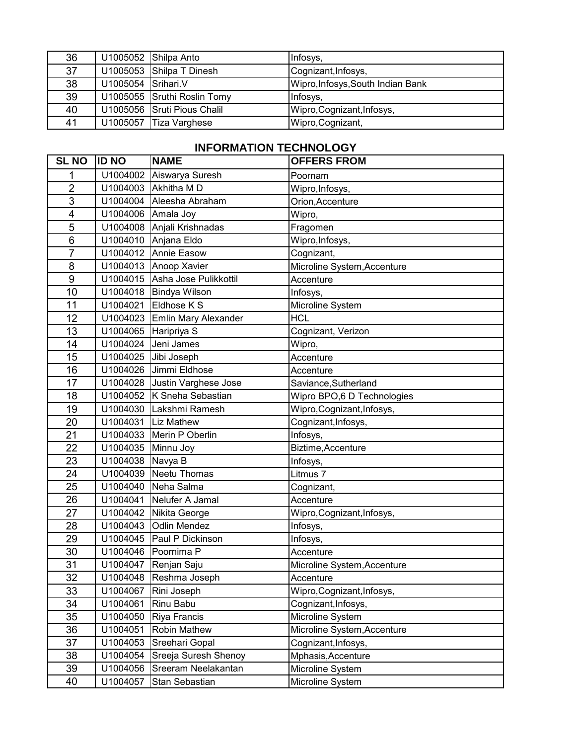| 36 |                    | U1005052 Shilpa Anto        | Infosys,                          |
|----|--------------------|-----------------------------|-----------------------------------|
| 37 |                    | U1005053 Shilpa T Dinesh    | Cognizant, Infosys,               |
| 38 | U1005054 Srihari.V |                             | Wipro, Infosys, South Indian Bank |
| 39 |                    | U1005055 Sruthi Roslin Tomy | Infosys,                          |
| 40 |                    | U1005056 Sruti Pious Chalil | Wipro, Cognizant, Infosys,        |
| 41 |                    | U1005057 Tiza Varghese      | Wipro, Cognizant,                 |

## **INFORMATION TECHNOLOGY**

| <b>SL NO</b>     | <b>ID NO</b> | <b>NAME</b>           | <b>OFFERS FROM</b>          |
|------------------|--------------|-----------------------|-----------------------------|
| 1                | U1004002     | Aiswarya Suresh       | Poornam                     |
| $\overline{2}$   | U1004003     | Akhitha M D           | Wipro, Infosys,             |
| 3                | U1004004     | Aleesha Abraham       | Orion, Accenture            |
| 4                | U1004006     | Amala Joy             | Wipro,                      |
| 5                | U1004008     | Anjali Krishnadas     | Fragomen                    |
| $6\phantom{1}6$  | U1004010     | Anjana Eldo           | Wipro, Infosys,             |
| $\overline{7}$   | U1004012     | Annie Easow           | Cognizant,                  |
| 8                | U1004013     | Anoop Xavier          | Microline System, Accenture |
| $\boldsymbol{9}$ | U1004015     | Asha Jose Pulikkottil | Accenture                   |
| 10               | U1004018     | Bindya Wilson         | Infosys,                    |
| 11               | U1004021     | Eldhose K S           | Microline System            |
| 12               | U1004023     | Emlin Mary Alexander  | <b>HCL</b>                  |
| 13               | U1004065     | Haripriya S           | Cognizant, Verizon          |
| 14               | U1004024     | Jeni James            | Wipro,                      |
| 15               | U1004025     | Jibi Joseph           | Accenture                   |
| 16               | U1004026     | Jimmi Eldhose         | Accenture                   |
| 17               | U1004028     | Justin Varghese Jose  | Saviance, Sutherland        |
| 18               | U1004052     | K Sneha Sebastian     | Wipro BPO,6 D Technologies  |
| 19               | U1004030     | Lakshmi Ramesh        | Wipro, Cognizant, Infosys,  |
| 20               | U1004031     | Liz Mathew            | Cognizant, Infosys,         |
| 21               | U1004033     | Merin P Oberlin       | Infosys,                    |
| 22               | U1004035     | Minnu Joy             | Biztime, Accenture          |
| 23               | U1004038     | Navya B               | Infosys,                    |
| 24               | U1004039     | Neetu Thomas          | Litmus <sub>7</sub>         |
| 25               | U1004040     | Neha Salma            | Cognizant,                  |
| 26               | U1004041     | Nelufer A Jamal       | Accenture                   |
| 27               | U1004042     | Nikita George         | Wipro, Cognizant, Infosys,  |
| 28               | U1004043     | <b>Odlin Mendez</b>   | Infosys,                    |
| 29               | U1004045     | Paul P Dickinson      | Infosys,                    |
| 30               | U1004046     | Poornima P            | Accenture                   |
| 31               | U1004047     | Renjan Saju           | Microline System, Accenture |
| 32               | U1004048     | Reshma Joseph         | Accenture                   |
| 33               | U1004067     | Rini Joseph           | Wipro, Cognizant, Infosys,  |
| 34               | U1004061     | Rinu Babu             | Cognizant, Infosys,         |
| 35               | U1004050     | Riya Francis          | Microline System            |
| 36               | U1004051     | Robin Mathew          | Microline System, Accenture |
| 37               | U1004053     | Sreehari Gopal        | Cognizant, Infosys,         |
| 38               | U1004054     | Sreeja Suresh Shenoy  | Mphasis, Accenture          |
| 39               | U1004056     | Sreeram Neelakantan   | Microline System            |
| 40               | U1004057     | Stan Sebastian        | Microline System            |